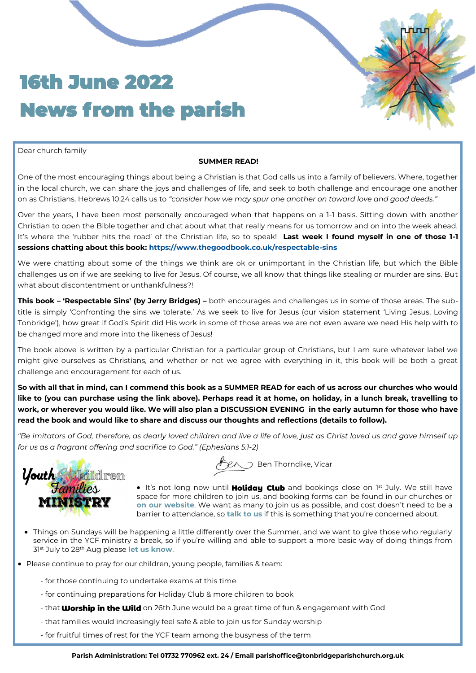## 16th June 2022 News from the parish

Dear church family

#### **SUMMER READ!**

One of the most encouraging things about being a Christian is that God calls us into a family of believers. Where, together in the local church, we can share the joys and challenges of life, and seek to both challenge and encourage one another on as Christians. Hebrews 10:24 calls us to *"consider how we may spur one another on toward love and good deeds."*

Over the years, I have been most personally encouraged when that happens on a 1-1 basis. Sitting down with another Christian to open the Bible together and chat about what that really means for us tomorrow and on into the week ahead. It's where the 'rubber hits the road' of the Christian life, so to speak! **Last week I found myself in one of those 1-1 sessions chatting about this book: [https://www.thegoodbook.co.uk/respectable](https://www.thegoodbook.co.uk/respectable-sins)-sins**

We were chatting about some of the things we think are ok or unimportant in the Christian life, but which the Bible challenges us on if we are seeking to live for Jesus. Of course, we all know that things like stealing or murder are sins. But what about discontentment or unthankfulness?!

**This book – 'Respectable Sins' (by Jerry Bridges) –** both encourages and challenges us in some of those areas. The subtitle is simply 'Confronting the sins we tolerate.' As we seek to live for Jesus (our vision statement 'Living Jesus, Loving Tonbridge'), how great if God's Spirit did His work in some of those areas we are not even aware we need His help with to be changed more and more into the likeness of Jesus!

The book above is written by a particular Christian for a particular group of Christians, but I am sure whatever label we might give ourselves as Christians, and whether or not we agree with everything in it, this book will be both a great challenge and encouragement for each of us.

**So with all that in mind, can I commend this book as a SUMMER READ for each of us across our churches who would like to (you can purchase using the link above). Perhaps read it at home, on holiday, in a lunch break, travelling to work, or wherever you would like. We will also plan a DISCUSSION EVENING in the early autumn for those who have read the book and would like to share and discuss our thoughts and reflections (details to follow).** 

*"Be imitators of God, therefore, as dearly loved children and live a life of love, just as Christ loved us and gave himself up for us as a fragrant offering and sacrifice to God." (Ephesians 5:1-2)*



 $\mathscr{F}_{\!\mathscr{L}\!\!\mathscr{N}}$  Ben Thorndike, Vicar

• It's not long now until **Holiday Club** and bookings close on 1st July. We still have space for more children to join us, and booking forms can be found in our churches or **[on our website](https://tonbridgeparishchurch.org.uk/Groups/338657/Children.aspx)**. We want as many to join us as possible, and cost doesn't need to be a barrier to attendance, so **[talk to us](mailto:holidayclub@tonbridgeparishchurch.org.uk)** if this is something that you're concerned about.

- Things on Sundays will be happening a little differently over the Summer, and we want to give those who regularly service in the YCF ministry a break, so if you're willing and able to support a more basic way of doing things from 31st July to 28th Aug please **[let us know](mailto:ycoffice@tonbridgeparishchurch.org.uk?subject=I%20can%20help%20over%20the%20Summer)**.
- Please continue to pray for our children, young people, families & team:
	- for those continuing to undertake exams at this time
	- for continuing preparations for Holiday Club & more children to book
	- that **Worship in the Wild** on 26th June would be a great time of fun & engagement with God
	- that families would increasingly feel safe & able to join us for Sunday worship
	- for fruitful times of rest for the YCF team among the busyness of the term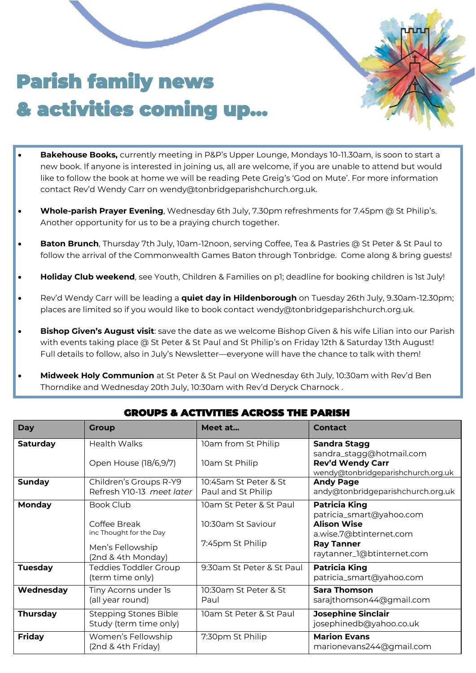# Parish family news & activities coming up...

- **Bakehouse Books,** currently meeting in P&P's Upper Lounge, Mondays 10-11.30am, is soon to start a new book. If anyone is interested in joining us, all are welcome, if you are unable to attend but would like to follow the book at home we will be reading Pete Greig's 'God on Mute'. For more information contact Rev'd Wendy Carr on wendy@tonbridgeparishchurch.org.uk.
- **Whole-parish Prayer Evening**, Wednesday 6th July, 7.30pm refreshments for 7.45pm @ St Philip's. Another opportunity for us to be a praying church together.
- **Baton Brunch**, Thursday 7th July, 10am-12noon, serving Coffee, Tea & Pastries @ St Peter & St Paul to follow the arrival of the Commonwealth Games Baton through Tonbridge. Come along & bring guests!
- **Holiday Club weekend**, see Youth, Children & Families on p1; deadline for booking children is 1st July!
- Rev'd Wendy Carr will be leading a **quiet day in Hildenborough** on Tuesday 26th July, 9.30am-12.30pm; places are limited so if you would like to book contact wendy@tonbridgeparishchurch.org.uk.
- **Bishop Given's August visit**: save the date as we welcome Bishop Given & his wife Lilian into our Parish with events taking place @ St Peter & St Paul and St Philip's on Friday 12th & Saturday 13th August! Full details to follow, also in July's Newsletter—everyone will have the chance to talk with them!
- **Midweek Holy Communion** at St Peter & St Paul on Wednesday 6th July, 10:30am with Rev'd Ben Thorndike and Wednesday 20th July, 10:30am with Rev'd Deryck Charnock .

| <b>Day</b>      | <b>Group</b>                                                                                          | Meet at                                                           | <b>Contact</b>                                                                                                                                       |  |  |  |  |
|-----------------|-------------------------------------------------------------------------------------------------------|-------------------------------------------------------------------|------------------------------------------------------------------------------------------------------------------------------------------------------|--|--|--|--|
| <b>Saturday</b> | <b>Health Walks</b><br>Open House (18/6,9/7)                                                          | 10am from St Philip<br>10am St Philip                             | <b>Sandra Stagg</b><br>sandra_stagg@hotmail.com<br><b>Rev'd Wendy Carr</b><br>wendy@tonbridgeparishchurch.org.uk                                     |  |  |  |  |
| <b>Sunday</b>   | Children's Groups R-Y9<br>Refresh Y10-13 meet later                                                   | 10:45am St Peter & St<br>Paul and St Philip                       | <b>Andy Page</b><br>andy@tonbridgeparishchurch.org.uk                                                                                                |  |  |  |  |
| Monday          | <b>Book Club</b><br>Coffee Break<br>inc Thought for the Day<br>Men's Fellowship<br>(2nd & 4th Monday) | 10am St Peter & St Paul<br>10:30am St Saviour<br>7:45pm St Philip | <b>Patricia King</b><br>patricia_smart@yahoo.com<br><b>Alison Wise</b><br>a.wise.7@btinternet.com<br><b>Ray Tanner</b><br>raytanner_1@btinternet.com |  |  |  |  |
| <b>Tuesday</b>  | <b>Teddies Toddler Group</b><br>(term time only)                                                      | 9:30am St Peter & St Paul                                         | <b>Patricia King</b><br>patricia_smart@yahoo.com                                                                                                     |  |  |  |  |
| Wednesday       | Tiny Acorns under 1s<br>(all year round)                                                              | 10:30am St Peter & St<br>Paul                                     | <b>Sara Thomson</b><br>sarajthomson44@gmail.com                                                                                                      |  |  |  |  |
| <b>Thursday</b> | <b>Stepping Stones Bible</b><br>Study (term time only)                                                | 10am St Peter & St Paul                                           | <b>Josephine Sinclair</b><br>josephinedb@yahoo.co.uk                                                                                                 |  |  |  |  |
| <b>Friday</b>   | Women's Fellowship<br>(2nd & 4th Friday)                                                              | 7:30pm St Philip                                                  | <b>Marion Evans</b><br>marionevans244@gmail.com                                                                                                      |  |  |  |  |

### GROUPS & ACTIVITIES ACROSS THE PARISH